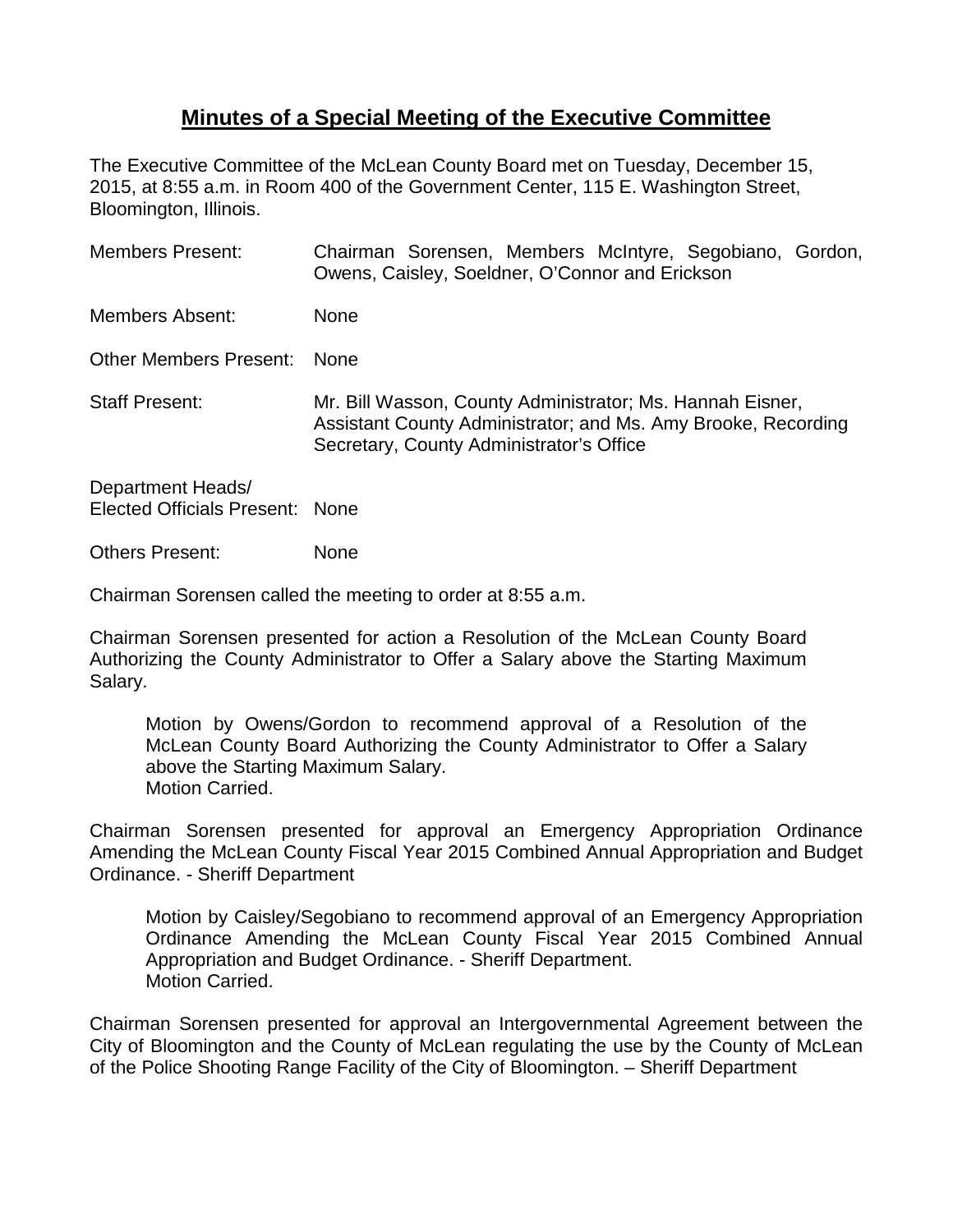## **Minutes of a Special Meeting of the Executive Committee**

The Executive Committee of the McLean County Board met on Tuesday, December 15, 2015, at 8:55 a.m. in Room 400 of the Government Center, 115 E. Washington Street, Bloomington, Illinois.

| <b>Members Present:</b>                              | Chairman Sorensen, Members McIntyre, Segobiano, Gordon,<br>Owens, Caisley, Soeldner, O'Connor and Erickson                                                             |
|------------------------------------------------------|------------------------------------------------------------------------------------------------------------------------------------------------------------------------|
| <b>Members Absent:</b>                               | <b>None</b>                                                                                                                                                            |
| Other Members Present:                               | <b>None</b>                                                                                                                                                            |
| <b>Staff Present:</b>                                | Mr. Bill Wasson, County Administrator; Ms. Hannah Eisner,<br>Assistant County Administrator; and Ms. Amy Brooke, Recording<br>Secretary, County Administrator's Office |
| Department Heads/<br>Elected Officials Present: None |                                                                                                                                                                        |
| Others Present:                                      | None                                                                                                                                                                   |

Chairman Sorensen called the meeting to order at 8:55 a.m.

Chairman Sorensen presented for action a Resolution of the McLean County Board Authorizing the County Administrator to Offer a Salary above the Starting Maximum Salary.

Motion by Owens/Gordon to recommend approval of a Resolution of the McLean County Board Authorizing the County Administrator to Offer a Salary above the Starting Maximum Salary. Motion Carried.

Chairman Sorensen presented for approval an Emergency Appropriation Ordinance Amending the McLean County Fiscal Year 2015 Combined Annual Appropriation and Budget Ordinance. - Sheriff Department

Motion by Caisley/Segobiano to recommend approval of an Emergency Appropriation Ordinance Amending the McLean County Fiscal Year 2015 Combined Annual Appropriation and Budget Ordinance. - Sheriff Department. Motion Carried.

Chairman Sorensen presented for approval an Intergovernmental Agreement between the City of Bloomington and the County of McLean regulating the use by the County of McLean of the Police Shooting Range Facility of the City of Bloomington. – Sheriff Department